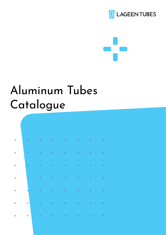



# Aluminum Tubes Catalogue

| $\ddot{\phantom{1}}$ | $\ddot{\phantom{1}}$ |                                                                                                                                                                                                                                                                                                                                                                                                                                                     |  |                      | $\ddot{}$      |
|----------------------|----------------------|-----------------------------------------------------------------------------------------------------------------------------------------------------------------------------------------------------------------------------------------------------------------------------------------------------------------------------------------------------------------------------------------------------------------------------------------------------|--|----------------------|----------------|
| $\frac{1}{4}$        |                      | $\begin{array}{cccccccccccccccccc} + & & & + & & & + & & & + & & & + & & & + & & & + & & & + & & & + \end{array}$                                                                                                                                                                                                                                                                                                                                   |  |                      | $\sim$ $^{-1}$ |
| $\frac{1}{4}$        | $\ddot{}$            |                                                                                                                                                                                                                                                                                                                                                                                                                                                     |  |                      | $\sim$ $^{-1}$ |
| $\frac{1}{4}$        | $\frac{1}{1}$        | $\label{eq:4} \begin{array}{lllllllllllll} \mathbb{E}[\mathcal{A}^{(1)}] & \mathbb{E}[\mathcal{A}^{(1)}] & \mathbb{E}[\mathcal{A}^{(1)}] & \mathbb{E}[\mathcal{A}^{(1)}] & \mathbb{E}[\mathcal{A}^{(1)}] & \mathbb{E}[\mathcal{A}^{(1)}] & \mathbb{E}[\mathcal{A}^{(1)}] & \mathbb{E}[\mathcal{A}^{(1)}] & \mathbb{E}[\mathcal{A}^{(1)}] & \mathbb{E}[\mathcal{A}^{(1)}] & \mathbb{E}[\mathcal{A}^{(1)}] & \math$                                   |  |                      | $\sim$ $^{-1}$ |
| $\frac{1}{1}$        |                      |                                                                                                                                                                                                                                                                                                                                                                                                                                                     |  |                      | $\sim$ $^{-1}$ |
| $\frac{1}{4}$        | $\frac{1}{1}$        | $\mathcal{A}=\mathcal{A}^{\dagger}$ , where $\mathcal{A}=\mathcal{A}^{\dagger}$ , $\mathcal{A}^{\dagger}=\mathcal{A}^{\dagger}$                                                                                                                                                                                                                                                                                                                     |  | $\ddot{\phantom{1}}$ | $\ddot{}$      |
| $\ddot{}$            | $\ddot{\phantom{1}}$ | $\label{eq:4} \begin{array}{lllllllllllll} \mathbf{1}_{\mathbf{1}_{\mathbf{1}_{\mathbf{1}_{\mathbf{1}_{\mathbf{1}}}}\mathbf{1}_{\mathbf{1}_{\mathbf{1}}}^{T}}\mathbf{1}_{\mathbf{1}_{\mathbf{1}_{\mathbf{1}}\mathbf{1}_{\mathbf{1}}}^{T}}\mathbf{1}_{\mathbf{1}_{\mathbf{1}_{\mathbf{1}}\mathbf{1}_{\mathbf{1}}}^{T}}\mathbf{1}_{\mathbf{1}_{\mathbf{1}_{\mathbf{1}}\mathbf{1}}} & \mathbf{1}_{\mathbf{1}_{\mathbf{1}}\mathbf{1}_{\mathbf{1}}}^{T}$ |  | $\pm$                | $\ddot{}$      |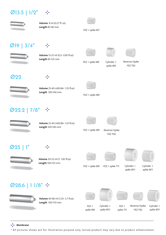#### $\emptyset$ 13.5 | 1/2"  $\div$



**Volume** 8 ml (0.27 fl. oz) **Length** 85-90 mm



 $FEZ + spike M7$ 

## $Ø$ 19 |  $3/4"$



**Volume** 15-25 ml (0.5- 0.85 fl.oz) **Length** 85-125 mm





spike M9



FEZ + spike M9 cylinder + Reverse + Spike + Cylinder

FEZ T92



÷

÷



**Volume** 25-40 ml(0.84-1.35 fl.oz) **Length** 100-140 mm



FEZ + spike M9

## $\emptyset$ 22.2 | 7/8"  $\div$



**Volume** 25-40 ml(0.84-1.35 fl.oz) **Length** 100-140 mm







 $FEZ + spike M9$ 

Reverse+Spike FEZ T92

#### $\emptyset$  25





Volume 30-55 ml (1-1.85 fl.oz) **Length** 100-155 mm







 $FEZ + spike M9$   $FEZ + spike T11$ 

 + Cylinder spike M11

 + Cylinder spike M11

#### $\emptyset$ 28.6 | 1  $1/8$ "  $\div$



**Volume** 40-80 ml (1.35- 2.7 fl.oz) **Length** 100-170 mm







 + Cylinder spike M11

FEZ T92  $FEZ +$ spike T11

 + Cylinder spike M11

**Membrane** 

\* All pictures shown are for illustration purpose only. Actual product may vary due to product enhancement.

spike M9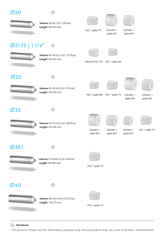





**Volume** 40-83 (1.35- 2.8 fl.oz) **Length** 100-162 mm







 + Cylinder spike M11  $FEZ + spike T11$ 

 + Cylinder spike M11

#### $\emptyset$ 31.75 | 1 1/4" ÷



**Volume** 45-110 ml (1.52 -3.71 fl.oz) **Length** 100-185 mm





Reverse FEZ T92 FEZ + spike M9



÷



**Volume** 45-110 ml (1.52-3.71 fl.oz) **Length** 100-185 mm







Cylinder + spike M11

 + Cylinder spike M11

#### 35Ø

38.1Ø

**Ø40** 

**A** Membrane



**Volume** 60-115 ml (2.02-3.88 fl.oz) **Length** 120-190 mm

**Volume** 75-145 ml (2.53- 4.9 fl.oz)

**Volume** 80-150 ml (2.7-5.07 fl.oz)

**Length** 120-175 mm

-5

**Length** 120-180 mm

43







 $FEZ + spike T11$ 

+ Cylinder

spike M11





















































 $FEZ + spike$  T11

 $FEZ + spike$  T11

\* All pictures shown are for illustration purpose only. Actual product may vary due to product enhancement.